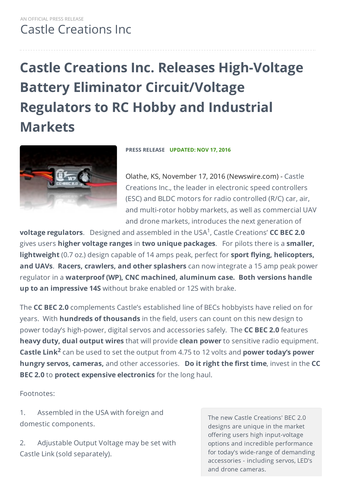# **Castle Creations Inc. Releases High-Voltage Battery Eliminator Circuit/Voltage Regulators to RC Hobby and Industrial Markets**



**PRESS RELEASE UPDATED: NOV 17, 2016**

Olathe, KS, November 17, 2016 (Newswire.com) - Castle Creations Inc., the leader in electronic speed controllers (ESC) and BLDC motors for radio controlled (R/C) car, air, and multi-rotor hobby markets, as well as commercial UAV and drone markets, introduces the next generation of

**voltage regulators**. Designed and assembled in the USA<sup>1</sup>, Castle Creations' CC BEC 2.0 gives users **higher voltage ranges** in **two unique packages**. For pilots there is a **smaller, lightweight** (0.7 oz.) design capable of 14 amps peak, perfect for **sport flying, helicopters, and UAVs**. **Racers, crawlers, and other splashers** can now integrate a 15 amp peak power regulator in a **waterproof (WP), CNC machined, aluminum case. Both versions handle up to an impressive 14S** without brake enabled or 12S with brake.

The **CC BEC 2.0** complements Castle's established line of BECs hobbyists have relied on for years. With **hundreds of thousands** in the field, users can count on this new design to power today's high-power, digital servos and accessories safely. The **CC BEC 2.0** features **heavy duty, dual output wires** that will provide **clean power** to sensitive radio equipment. **Castle Link<sup>2</sup> can be used to set the output from 4.75 to 12 volts and <b>power today's power hungry servos, cameras,** and other accessories. **Do it right the first time**, invest in the **CC BEC 2.0** to **protect expensive electronics** for the long haul.

Footnotes:

1. Assembled in the USA with foreign and domestic components.

2. Adjustable Output Voltage may be set with Castle Link (sold separately).

The new Castle Creations' BEC 2.0 designs are unique in the market offering users high input-voltage options and incredible performance for today's wide-range of demanding accessories - including servos, LED's and drone cameras.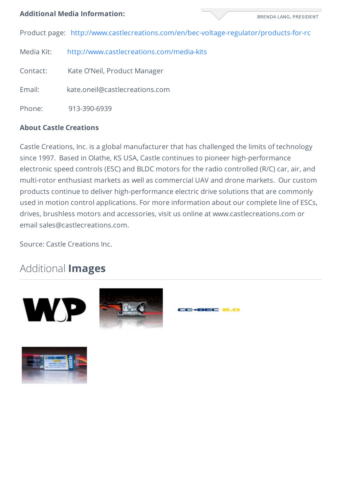#### **Additional Media Information:**

BRENDA LANG, PRESIDENT

Product page: <http://www.castlecreations.com/en/bec-voltage-regulator/products-for-rc>

Media Kit: <http://www.castlecreations.com/media-kits>

Contact: Kate O'Neil, Product Manager

Email: kate.oneil@castlecreations.com

Phone: 913-390-6939

### **About Castle Creations**

Castle Creations, Inc. is a global manufacturer that has challenged the limits of technology since 1997. Based in Olathe, KS USA, Castle continues to pioneer high-performance electronic speed controls (ESC) and BLDC motors for the radio controlled (R/C) car, air, and multi-rotor enthusiast markets as well as commercial UAV and drone markets. Our custom products continue to deliver high-performance electric drive solutions that are commonly used in motion control applications. For more information about our complete line of ESCs, drives, brushless motors and accessories, visit us online at www.castlecreations.com or email sales@castlecreations.com.

32C 2.C

Source: Castle Creations Inc.

## Additional **Images**